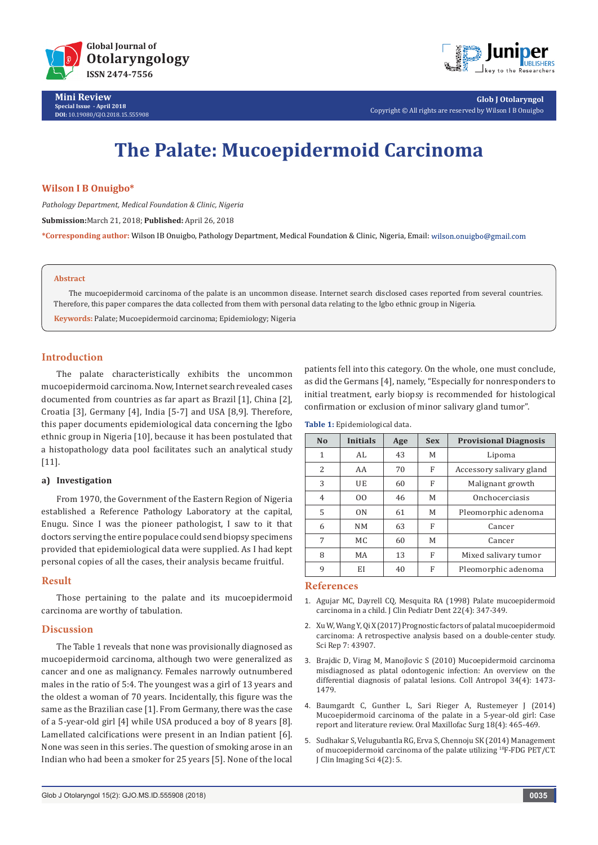



**Glob J Otolaryngol** Copyright © All rights are reserved by Wilson I B Onuigbo

# **The Palate: Mucoepidermoid Carcinoma**

## **Wilson I B Onuigbo\***

*Pathology Department, Medical Foundation & Clinic, Nigeria*

**Submission:**March 21, 2018; **Published:** April 26, 2018

**\*Corresponding author:** Wilson IB Onuigbo, Pathology Department, Medical Foundation & Clinic, Nigeria, Email:

#### **Abstract**

The mucoepidermoid carcinoma of the palate is an uncommon disease. Internet search disclosed cases reported from several countries. Therefore, this paper compares the data collected from them with personal data relating to the Igbo ethnic group in Nigeria.

**Keywords:** Palate; Mucoepidermoid carcinoma; Epidemiology; Nigeria

# **Introduction**

The palate characteristically exhibits the uncommon mucoepidermoid carcinoma. Now, Internet search revealed cases documented from countries as far apart as Brazil [1], China [2], Croatia [3], Germany [4], India [5-7] and USA [8,9]. Therefore, this paper documents epidemiological data concerning the Igbo ethnic group in Nigeria [10], because it has been postulated that a histopathology data pool facilitates such an analytical study [11].

### **a) Investigation**

From 1970, the Government of the Eastern Region of Nigeria established a Reference Pathology Laboratory at the capital, Enugu. Since I was the pioneer pathologist, I saw to it that doctors serving the entire populace could send biopsy specimens provided that epidemiological data were supplied. As I had kept personal copies of all the cases, their analysis became fruitful.

### **Result**

Those pertaining to the palate and its mucoepidermoid carcinoma are worthy of tabulation.

### **Discussion**

The Table 1 reveals that none was provisionally diagnosed as mucoepidermoid carcinoma, although two were generalized as cancer and one as malignancy. Females narrowly outnumbered males in the ratio of 5:4. The youngest was a girl of 13 years and the oldest a woman of 70 years. Incidentally, this figure was the same as the Brazilian case [1]. From Germany, there was the case of a 5-year-old girl [4] while USA produced a boy of 8 years [8]. Lamellated calcifications were present in an Indian patient [6]. None was seen in this series. The question of smoking arose in an Indian who had been a smoker for 25 years [5]. None of the local patients fell into this category. On the whole, one must conclude, as did the Germans [4], namely, "Especially for nonresponders to initial treatment, early biopsy is recommended for histological confirmation or exclusion of minor salivary gland tumor".

| N <sub>0</sub> | Initials  | Age | <b>Sex</b> | <b>Provisional Diagnosis</b> |
|----------------|-----------|-----|------------|------------------------------|
| 1              | AI.       | 43  | М          | Lipoma                       |
| 2              | AA        | 70  | F          | Accessory salivary gland     |
| 3              | UE        | 60  | F          | Malignant growth             |
| 4              | 00        | 46  | М          | Onchocerciasis               |
| 5              | ON        | 61  | М          | Pleomorphic adenoma          |
| 6              | <b>NM</b> | 63  | F          | Cancer                       |
| 7              | MC.       | 60  | М          | Cancer                       |
| 8              | MA        | 13  | F          | Mixed salivary tumor         |
| 9              | ΕI        | 40  | F          | Pleomorphic adenoma          |

#### **References**

- 1. [Agujar MC, Dayrell CQ, Mesquita RA \(1998\) Palate mucoepidermoid](https://www.researchgate.net/publication/12353537_Mucoepidermoid_carcinoma_of_the_palate_in_a_child) [carcinoma in a child. J Clin Pediatr Dent 22\(4\): 347-349.](https://www.researchgate.net/publication/12353537_Mucoepidermoid_carcinoma_of_the_palate_in_a_child)
- 2. [Xu W, Wang Y, Qi X \(2017\) Prognostic factors of palatal mucoepidermoid](https://www.ncbi.nlm.nih.gov/pubmed/28262804) [carcinoma: A retrospective analysis based on a double-center study.](https://www.ncbi.nlm.nih.gov/pubmed/28262804) [Sci Rep 7: 43907.](https://www.ncbi.nlm.nih.gov/pubmed/28262804)
- 3. [Brajdic D, Virag M, Manojlovic S \(2010\) Mucoepidermoid carcinoma](https://hrcak.srce.hr/index.php?id_clanak_jezik=94148&show=clanak) [misdiagnosed as platal odontogenic infection: An overview on the](https://hrcak.srce.hr/index.php?id_clanak_jezik=94148&show=clanak) [differential diagnosis of palatal lesions. Coll Antropol 34\(4\): 1473-](https://hrcak.srce.hr/index.php?id_clanak_jezik=94148&show=clanak) [1479.](https://hrcak.srce.hr/index.php?id_clanak_jezik=94148&show=clanak)
- 4. [Baumgardt C, Gunther L, Sari Rieger A, Rustemeyer J \(2014\)](https://link.springer.com/article/10.1007/s10006-014-0461-6) [Mucoepidermoid carcinoma of the palate in a 5-year-old girl: Case](https://link.springer.com/article/10.1007/s10006-014-0461-6) [report and literature review. Oral Maxillofac Surg 18\(4\): 465-469.](https://link.springer.com/article/10.1007/s10006-014-0461-6)
- 5. [Sudhakar S, Velugubantla RG, Erva S, Chennoju SK \(2014\) Management](https://www.ncbi.nlm.nih.gov/pmc/articles/PMC4278096/) [of mucoepidermoid carcinoma of the palate utilizing](https://www.ncbi.nlm.nih.gov/pmc/articles/PMC4278096/) 18F-FDG PET/CT. [J Clin Imaging Sci 4\(2\): 5.](https://www.ncbi.nlm.nih.gov/pmc/articles/PMC4278096/)